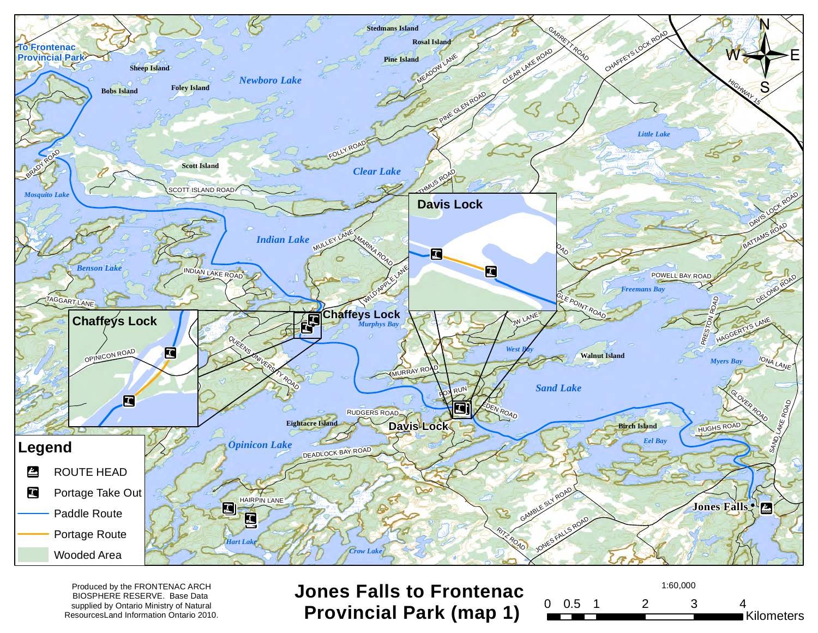

BIOSPHERE RESERVE. Base Data supplied by Ontario Ministry of Natural ResourcesLand Information Ontario 2010.

Produced by the FRONTENAC ARCH **Jones Falls to Frontenac** and the serve are the served by the FRONTENAC and the served by the served by the FRONTENAC and the served by the served by the served by the served by the served b **Provincial Park (map 1)**